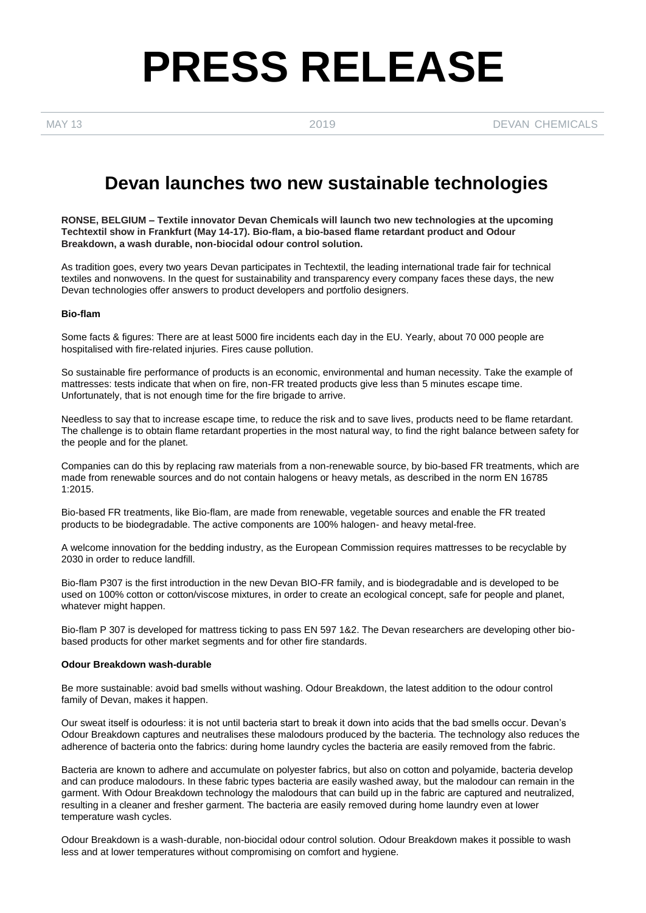# **PRESS RELEASE**

MAY 13 2019 2019 DEVAN CHEMICALS

## **Devan launches two new sustainable technologies**

**RONSE, BELGIUM – Textile innovator Devan Chemicals will launch two new technologies at the upcoming Techtextil show in Frankfurt (May 14-17). Bio-flam, a bio-based flame retardant product and Odour Breakdown, a wash durable, non-biocidal odour control solution.**

As tradition goes, every two years Devan participates in Techtextil, the leading international trade fair for technical textiles and nonwovens. In the quest for sustainability and transparency every company faces these days, the new Devan technologies offer answers to product developers and portfolio designers.

#### **Bio-flam**

Some facts & figures: There are at least 5000 fire incidents each day in the EU. Yearly, about 70 000 people are hospitalised with fire-related injuries. Fires cause pollution.

So sustainable fire performance of products is an economic, environmental and human necessity. Take the example of mattresses: tests indicate that when on fire, non-FR treated products give less than 5 minutes escape time. Unfortunately, that is not enough time for the fire brigade to arrive.

Needless to say that to increase escape time, to reduce the risk and to save lives, products need to be flame retardant. The challenge is to obtain flame retardant properties in the most natural way, to find the right balance between safety for the people and for the planet.

Companies can do this by replacing raw materials from a non-renewable source, by bio-based FR treatments, which are made from renewable sources and do not contain halogens or heavy metals, as described in the norm EN 16785 1:2015.

Bio-based FR treatments, like Bio-flam, are made from renewable, vegetable sources and enable the FR treated products to be biodegradable. The active components are 100% halogen- and heavy metal-free.

A welcome innovation for the bedding industry, as the European Commission requires mattresses to be recyclable by 2030 in order to reduce landfill.

Bio-flam P307 is the first introduction in the new Devan BIO-FR family, and is biodegradable and is developed to be used on 100% cotton or cotton/viscose mixtures, in order to create an ecological concept, safe for people and planet, whatever might happen.

Bio-flam P 307 is developed for mattress ticking to pass EN 597 1&2. The Devan researchers are developing other biobased products for other market segments and for other fire standards.

#### **Odour Breakdown wash-durable**

Be more sustainable: avoid bad smells without washing. Odour Breakdown, the latest addition to the odour control family of Devan, makes it happen.

Our sweat itself is odourless: it is not until bacteria start to break it down into acids that the bad smells occur. Devan's Odour Breakdown captures and neutralises these malodours produced by the bacteria. The technology also reduces the adherence of bacteria onto the fabrics: during home laundry cycles the bacteria are easily removed from the fabric.

Bacteria are known to adhere and accumulate on polyester fabrics, but also on cotton and polyamide, bacteria develop and can produce malodours. In these fabric types bacteria are easily washed away, but the malodour can remain in the garment. With Odour Breakdown technology the malodours that can build up in the fabric are captured and neutralized, resulting in a cleaner and fresher garment. The bacteria are easily removed during home laundry even at lower temperature wash cycles.

Odour Breakdown is a wash-durable, non-biocidal odour control solution. Odour Breakdown makes it possible to wash less and at lower temperatures without compromising on comfort and hygiene.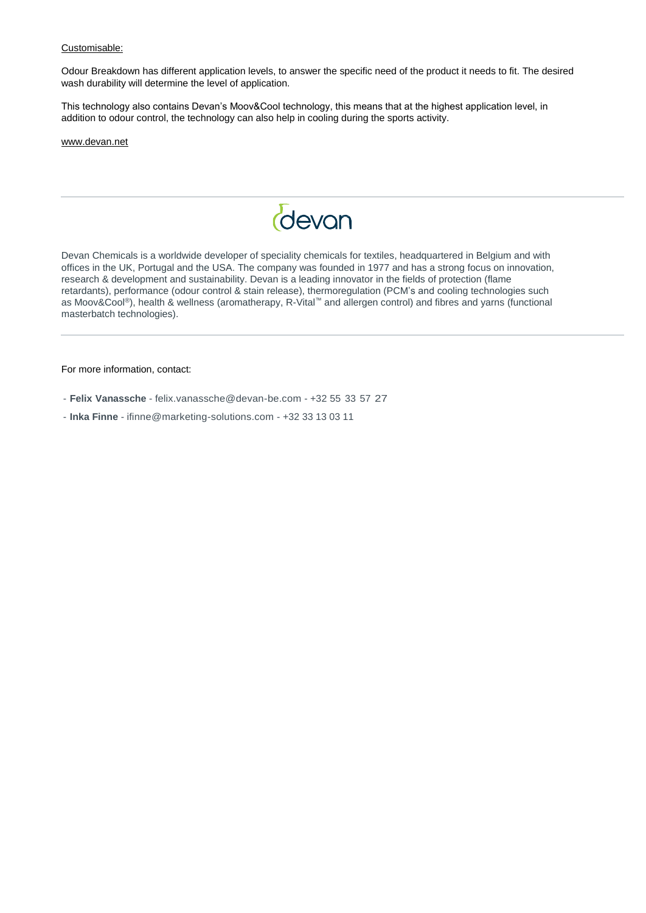#### Customisable:

Odour Breakdown has different application levels, to answer the specific need of the product it needs to fit. The desired wash durability will determine the level of application.

This technology also contains Devan's Moov&Cool technology, this means that at the highest application level, in addition to odour control, the technology can also help in cooling during the sports activity.

[www.devan.net](http://www.devan.net/)



Devan Chemicals is a worldwide developer of speciality chemicals for textiles, headquartered in Belgium and with offices in the UK, Portugal and the USA. The company was founded in 1977 and has a strong focus on innovation, research & development and sustainability. Devan is a leading innovator in the fields of protection (flame retardants), performance (odour control & stain release), thermoregulation (PCM's and cooling technologies such as Moov&Cool®), health & wellness (aromatherapy, R-Vital™ and allergen control) and fibres and yarns (functional masterbatch technologies).

For more information, contact:

- **Felix Vanassche**  [felix.vanassche@devan-be.com](mailto:felix.vanassche@devan-be.com) +32 55 33 57 27
- **Inka Finne**  [ifinne@marketing-solutions.com](mailto:ifinne@marketing-solutions.com) +32 33 13 03 11